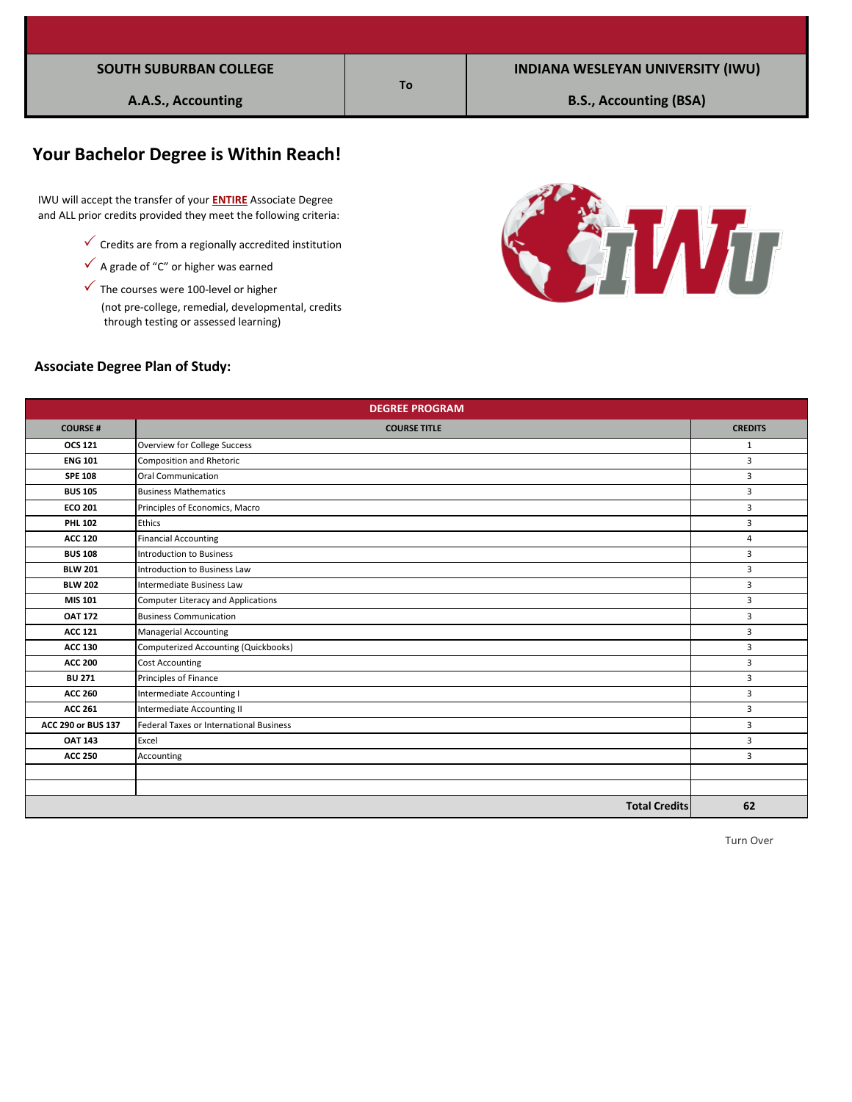# **Your Bachelor Degree is Within Reach!**

 IWU will accept the transfer of your **ENTIRE** Associate Degree and ALL prior credits provided they meet the following criteria:

- $\checkmark$  Credits are from a regionally accredited institution
- $\checkmark$  A grade of "C" or higher was earned
- (not pre-college, remedial, developmental, credits  $\checkmark$  The courses were 100-level or higher through testing or assessed learning)



#### **Associate Degree Plan of Study:**

| <b>DEGREE PROGRAM</b> |                                           |                |  |  |
|-----------------------|-------------------------------------------|----------------|--|--|
| <b>COURSE#</b>        | <b>COURSE TITLE</b>                       | <b>CREDITS</b> |  |  |
| <b>OCS 121</b>        | Overview for College Success              | $\mathbf{1}$   |  |  |
| <b>ENG 101</b>        | Composition and Rhetoric                  | $\overline{3}$ |  |  |
| <b>SPE 108</b>        | Oral Communication                        | 3              |  |  |
| <b>BUS 105</b>        | <b>Business Mathematics</b>               | 3              |  |  |
| <b>ECO 201</b>        | Principles of Economics, Macro            | 3              |  |  |
| <b>PHL 102</b>        | Ethics                                    | $\overline{3}$ |  |  |
| <b>ACC 120</b>        | <b>Financial Accounting</b>               | 4              |  |  |
| <b>BUS 108</b>        | <b>Introduction to Business</b>           | $\overline{3}$ |  |  |
| <b>BLW 201</b>        | Introduction to Business Law              | 3              |  |  |
| <b>BLW 202</b>        | Intermediate Business Law                 | $\overline{3}$ |  |  |
| MIS 101               | <b>Computer Literacy and Applications</b> | 3              |  |  |
| <b>OAT 172</b>        | <b>Business Communication</b>             | $\overline{3}$ |  |  |
| <b>ACC 121</b>        | <b>Managerial Accounting</b>              | 3              |  |  |
| <b>ACC 130</b>        | Computerized Accounting (Quickbooks)      | $\overline{3}$ |  |  |
| <b>ACC 200</b>        | <b>Cost Accounting</b>                    | 3              |  |  |
| <b>BU 271</b>         | Principles of Finance                     | 3              |  |  |
| <b>ACC 260</b>        | Intermediate Accounting I                 | 3              |  |  |
| <b>ACC 261</b>        | Intermediate Accounting II                | 3              |  |  |
| ACC 290 or BUS 137    | Federal Taxes or International Business   | 3              |  |  |
| <b>OAT 143</b>        | Excel                                     | 3              |  |  |
| <b>ACC 250</b>        | Accounting                                | 3              |  |  |
|                       |                                           |                |  |  |
|                       |                                           |                |  |  |
|                       | <b>Total Credits</b>                      | 62             |  |  |

**To**